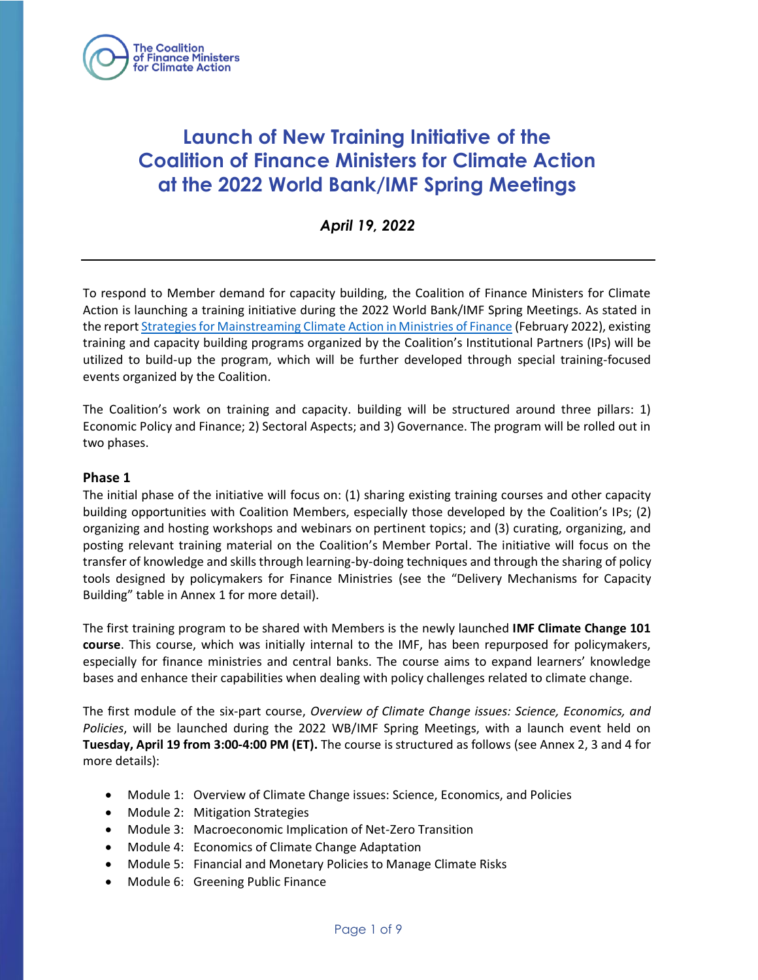

# **Launch of New Training Initiative of the Coalition of Finance Ministers for Climate Action at the 2022 World Bank/IMF Spring Meetings**

*April 19, 2022*

To respond to Member demand for capacity building, the Coalition of Finance Ministers for Climate Action is launching a training initiative during the 2022 World Bank/IMF Spring Meetings. As stated in the report [Strategies for Mainstreaming Climate Action in Ministries of Finance](https://www.financeministersforclimate.org/sites/cape/files/inline-files/Strategies%20for%20Mainstreaming%20Climate%20Action%20in%20Ministries%20of%20Finance.pdf) (February 2022), existing training and capacity building programs organized by the Coalition's Institutional Partners (IPs) will be utilized to build-up the program, which will be further developed through special training-focused events organized by the Coalition.

The Coalition's work on training and capacity. building will be structured around three pillars: 1) Economic Policy and Finance; 2) Sectoral Aspects; and 3) Governance. The program will be rolled out in two phases.

#### **Phase 1**

The initial phase of the initiative will focus on: (1) sharing existing training courses and other capacity building opportunities with Coalition Members, especially those developed by the Coalition's IPs; (2) organizing and hosting workshops and webinars on pertinent topics; and (3) curating, organizing, and posting relevant training material on the Coalition's Member Portal. The initiative will focus on the transfer of knowledge and skills through learning-by-doing techniques and through the sharing of policy tools designed by policymakers for Finance Ministries (see the "Delivery Mechanisms for Capacity Building" table in Annex 1 for more detail).

The first training program to be shared with Members is the newly launched **IMF Climate Change 101 course**. This course, which was initially internal to the IMF, has been repurposed for policymakers, especially for finance ministries and central banks. The course aims to expand learners' knowledge bases and enhance their capabilities when dealing with policy challenges related to climate change.

The first module of the six-part course, *Overview of Climate Change issues: Science, Economics, and Policies*, will be launched during the 2022 WB/IMF Spring Meetings, with a launch event held on **Tuesday, April 19 from 3:00-4:00 PM (ET).** The course is structured as follows (see Annex 2, 3 and 4 for more details):

- Module 1: Overview of Climate Change issues: Science, Economics, and Policies
- Module 2: Mitigation Strategies
- Module 3: Macroeconomic Implication of Net-Zero Transition
- Module 4: Economics of Climate Change Adaptation
- Module 5: Financial and Monetary Policies to Manage Climate Risks
- Module 6: Greening Public Finance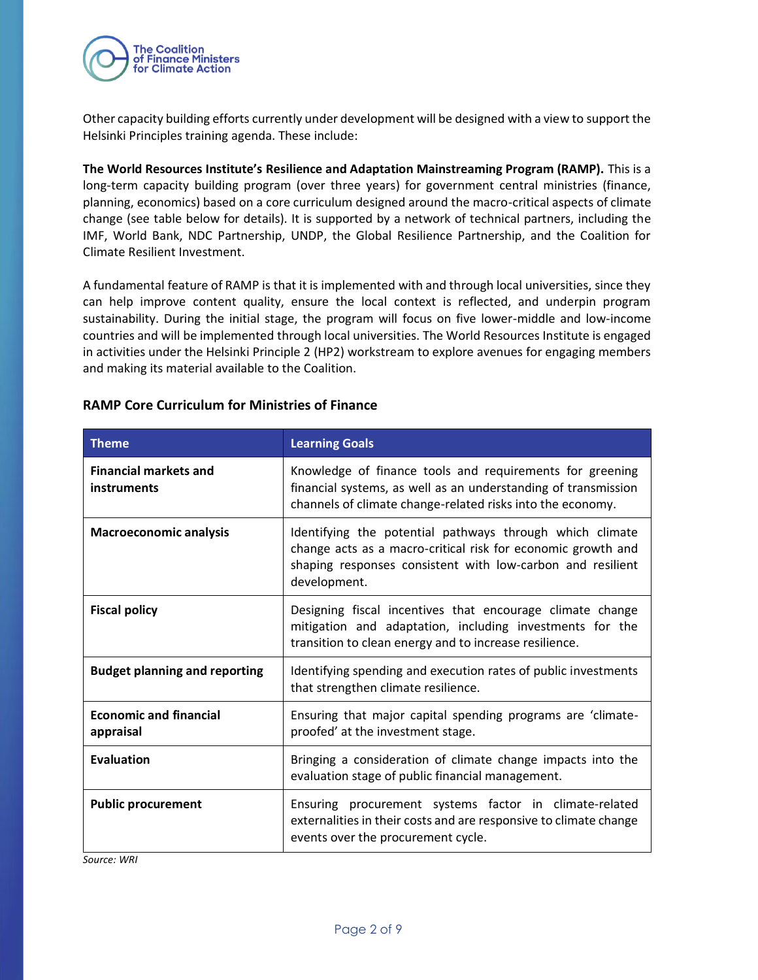

Other capacity building efforts currently under development will be designed with a view to support the Helsinki Principles training agenda. These include:

**The World Resources Institute's Resilience and Adaptation Mainstreaming Program (RAMP).** This is a long-term capacity building program (over three years) for government central ministries (finance, planning, economics) based on a core curriculum designed around the macro-critical aspects of climate change (see table below for details). It is supported by a network of technical partners, including the IMF, World Bank, NDC Partnership, UNDP, the Global Resilience Partnership, and the Coalition for Climate Resilient Investment.

A fundamental feature of RAMP is that it is implemented with and through local universities, since they can help improve content quality, ensure the local context is reflected, and underpin program sustainability. During the initial stage, the program will focus on five lower-middle and low-income countries and will be implemented through local universities. The World Resources Institute is engaged in activities under the Helsinki Principle 2 (HP2) workstream to explore avenues for engaging members and making its material available to the Coalition.

| <b>Theme</b>                                | <b>Learning Goals</b>                                                                                                                                                                                  |
|---------------------------------------------|--------------------------------------------------------------------------------------------------------------------------------------------------------------------------------------------------------|
| <b>Financial markets and</b><br>instruments | Knowledge of finance tools and requirements for greening<br>financial systems, as well as an understanding of transmission<br>channels of climate change-related risks into the economy.               |
| <b>Macroeconomic analysis</b>               | Identifying the potential pathways through which climate<br>change acts as a macro-critical risk for economic growth and<br>shaping responses consistent with low-carbon and resilient<br>development. |
| <b>Fiscal policy</b>                        | Designing fiscal incentives that encourage climate change<br>mitigation and adaptation, including investments for the<br>transition to clean energy and to increase resilience.                        |
| <b>Budget planning and reporting</b>        | Identifying spending and execution rates of public investments<br>that strengthen climate resilience.                                                                                                  |
| <b>Economic and financial</b><br>appraisal  | Ensuring that major capital spending programs are 'climate-<br>proofed' at the investment stage.                                                                                                       |
| <b>Evaluation</b>                           | Bringing a consideration of climate change impacts into the<br>evaluation stage of public financial management.                                                                                        |
| <b>Public procurement</b>                   | Ensuring procurement systems factor in climate-related<br>externalities in their costs and are responsive to climate change<br>events over the procurement cycle.                                      |

#### **RAMP Core Curriculum for Ministries of Finance**

*Source: WRI*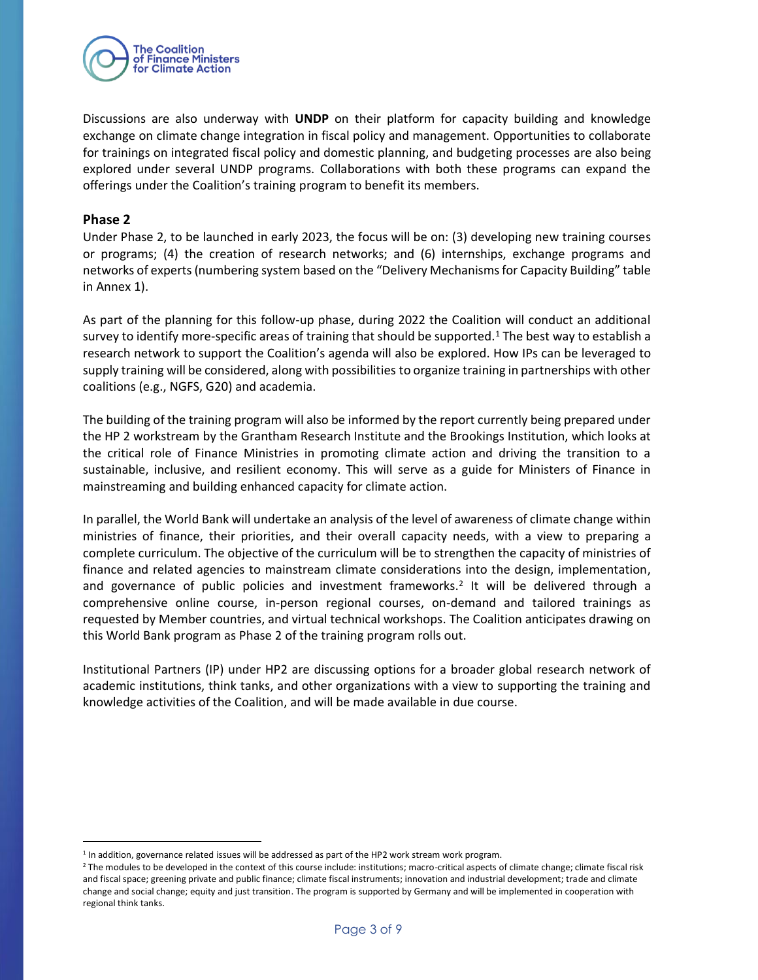

Discussions are also underway with **UNDP** on their platform for capacity building and knowledge exchange on climate change integration in fiscal policy and management. Opportunities to collaborate for trainings on integrated fiscal policy and domestic planning, and budgeting processes are also being explored under several UNDP programs. Collaborations with both these programs can expand the offerings under the Coalition's training program to benefit its members.

#### **Phase 2**

Under Phase 2, to be launched in early 2023, the focus will be on: (3) developing new training courses or programs; (4) the creation of research networks; and (6) internships, exchange programs and networks of experts (numbering system based on the "Delivery Mechanisms for Capacity Building" table in Annex 1).

As part of the planning for this follow-up phase, during 2022 the Coalition will conduct an additional survey to identify more-specific areas of training that should be supported.<sup>1</sup> The best way to establish a research network to support the Coalition's agenda will also be explored. How IPs can be leveraged to supply training will be considered, along with possibilities to organize training in partnerships with other coalitions (e.g., NGFS, G20) and academia.

The building of the training program will also be informed by the report currently being prepared under the HP 2 workstream by the Grantham Research Institute and the Brookings Institution, which looks at the critical role of Finance Ministries in promoting climate action and driving the transition to a sustainable, inclusive, and resilient economy. This will serve as a guide for Ministers of Finance in mainstreaming and building enhanced capacity for climate action.

In parallel, the World Bank will undertake an analysis of the level of awareness of climate change within ministries of finance, their priorities, and their overall capacity needs, with a view to preparing a complete curriculum. The objective of the curriculum will be to strengthen the capacity of ministries of finance and related agencies to mainstream climate considerations into the design, implementation, and governance of public policies and investment frameworks.<sup>2</sup> It will be delivered through a comprehensive online course, in-person regional courses, on-demand and tailored trainings as requested by Member countries, and virtual technical workshops. The Coalition anticipates drawing on this World Bank program as Phase 2 of the training program rolls out.

Institutional Partners (IP) under HP2 are discussing options for a broader global research network of academic institutions, think tanks, and other organizations with a view to supporting the training and knowledge activities of the Coalition, and will be made available in due course.

<sup>&</sup>lt;sup>1</sup> In addition, governance related issues will be addressed as part of the HP2 work stream work program.

<sup>&</sup>lt;sup>2</sup> The modules to be developed in the context of this course include: institutions; macro-critical aspects of climate change; climate fiscal risk and fiscal space; greening private and public finance; climate fiscal instruments; innovation and industrial development; trade and climate change and social change; equity and just transition. The program is supported by Germany and will be implemented in cooperation with regional think tanks.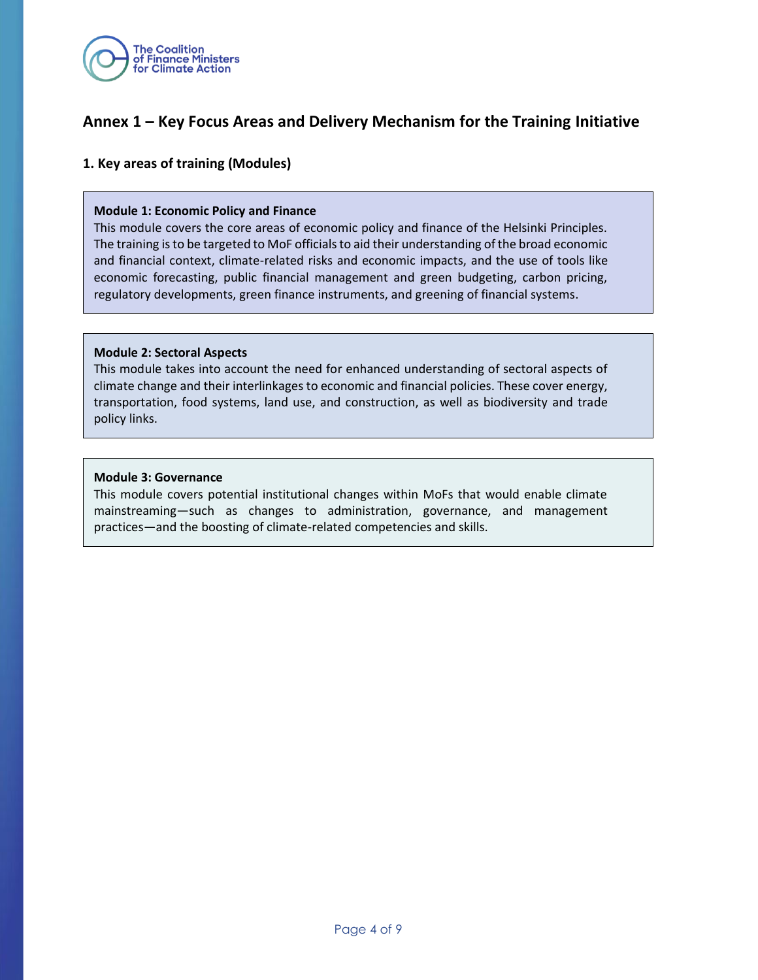

# **Annex 1 – Key Focus Areas and Delivery Mechanism for the Training Initiative**

#### **1. Key areas of training (Modules)**

#### **Module 1: Economic Policy and Finance**

This module covers the core areas of economic policy and finance of the Helsinki Principles. The training is to be targeted to MoF officials to aid their understanding of the broad economic and financial context, climate-related risks and economic impacts, and the use of tools like economic forecasting, public financial management and green budgeting, carbon pricing, regulatory developments, green finance instruments, and greening of financial systems.

#### **Module 2: Sectoral Aspects**

This module takes into account the need for enhanced understanding of sectoral aspects of climate change and their interlinkages to economic and financial policies. These cover energy, transportation, food systems, land use, and construction, as well as biodiversity and trade policy links.

#### **Module 3: Governance**

This module covers potential institutional changes within MoFs that would enable climate mainstreaming—such as changes to administration, governance, and management practices—and the boosting of climate-related competencies and skills.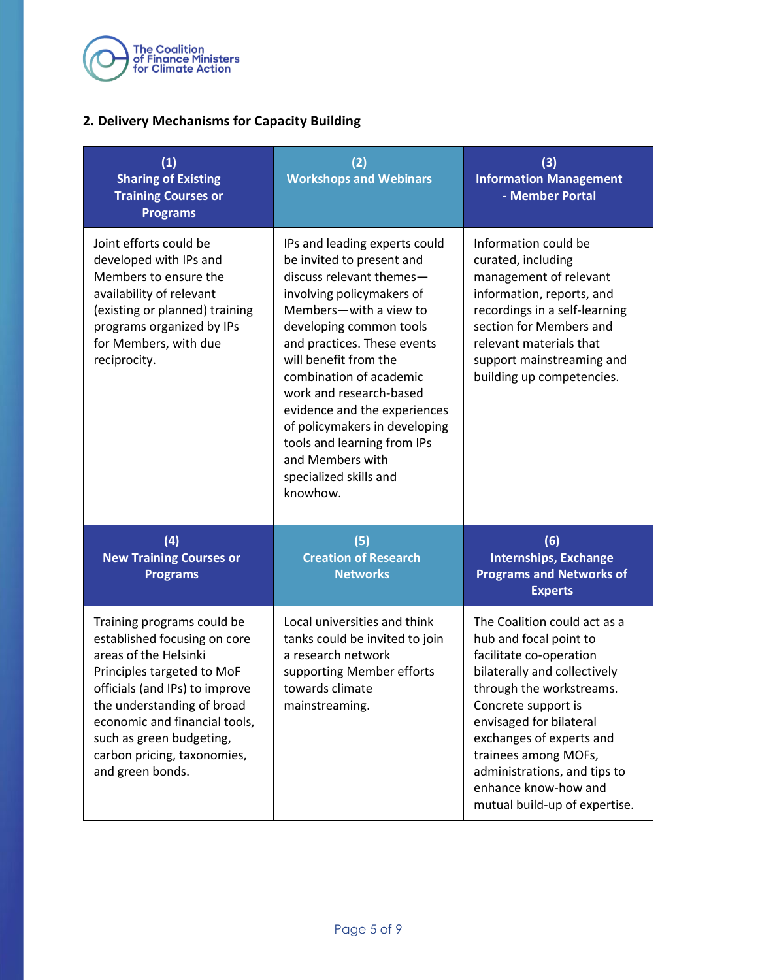

### **2. Delivery Mechanisms for Capacity Building**

| (1)<br><b>Sharing of Existing</b><br><b>Training Courses or</b><br><b>Programs</b>                                                                                                                                                                                                                | (2)<br><b>Workshops and Webinars</b>                                                                                                                                                                                                                                                                                                                                                                                                             | (3)<br><b>Information Management</b><br>- Member Portal                                                                                                                                                                                                                                                                                      |
|---------------------------------------------------------------------------------------------------------------------------------------------------------------------------------------------------------------------------------------------------------------------------------------------------|--------------------------------------------------------------------------------------------------------------------------------------------------------------------------------------------------------------------------------------------------------------------------------------------------------------------------------------------------------------------------------------------------------------------------------------------------|----------------------------------------------------------------------------------------------------------------------------------------------------------------------------------------------------------------------------------------------------------------------------------------------------------------------------------------------|
| Joint efforts could be<br>developed with IPs and<br>Members to ensure the<br>availability of relevant<br>(existing or planned) training<br>programs organized by IPs<br>for Members, with due<br>reciprocity.                                                                                     | IPs and leading experts could<br>be invited to present and<br>discuss relevant themes-<br>involving policymakers of<br>Members-with a view to<br>developing common tools<br>and practices. These events<br>will benefit from the<br>combination of academic<br>work and research-based<br>evidence and the experiences<br>of policymakers in developing<br>tools and learning from IPs<br>and Members with<br>specialized skills and<br>knowhow. | Information could be<br>curated, including<br>management of relevant<br>information, reports, and<br>recordings in a self-learning<br>section for Members and<br>relevant materials that<br>support mainstreaming and<br>building up competencies.                                                                                           |
| (4)<br><b>New Training Courses or</b><br><b>Programs</b>                                                                                                                                                                                                                                          | (5)<br><b>Creation of Research</b><br><b>Networks</b>                                                                                                                                                                                                                                                                                                                                                                                            | (6)<br><b>Internships, Exchange</b><br><b>Programs and Networks of</b><br><b>Experts</b>                                                                                                                                                                                                                                                     |
| Training programs could be<br>established focusing on core<br>areas of the Helsinki<br>Principles targeted to MoF<br>officials (and IPs) to improve<br>the understanding of broad<br>economic and financial tools,<br>such as green budgeting,<br>carbon pricing, taxonomies,<br>and green bonds. | Local universities and think<br>tanks could be invited to join<br>a research network<br>supporting Member efforts<br>towards climate<br>mainstreaming.                                                                                                                                                                                                                                                                                           | The Coalition could act as a<br>hub and focal point to<br>facilitate co-operation<br>bilaterally and collectively<br>through the workstreams.<br>Concrete support is<br>envisaged for bilateral<br>exchanges of experts and<br>trainees among MOFs,<br>administrations, and tips to<br>enhance know-how and<br>mutual build-up of expertise. |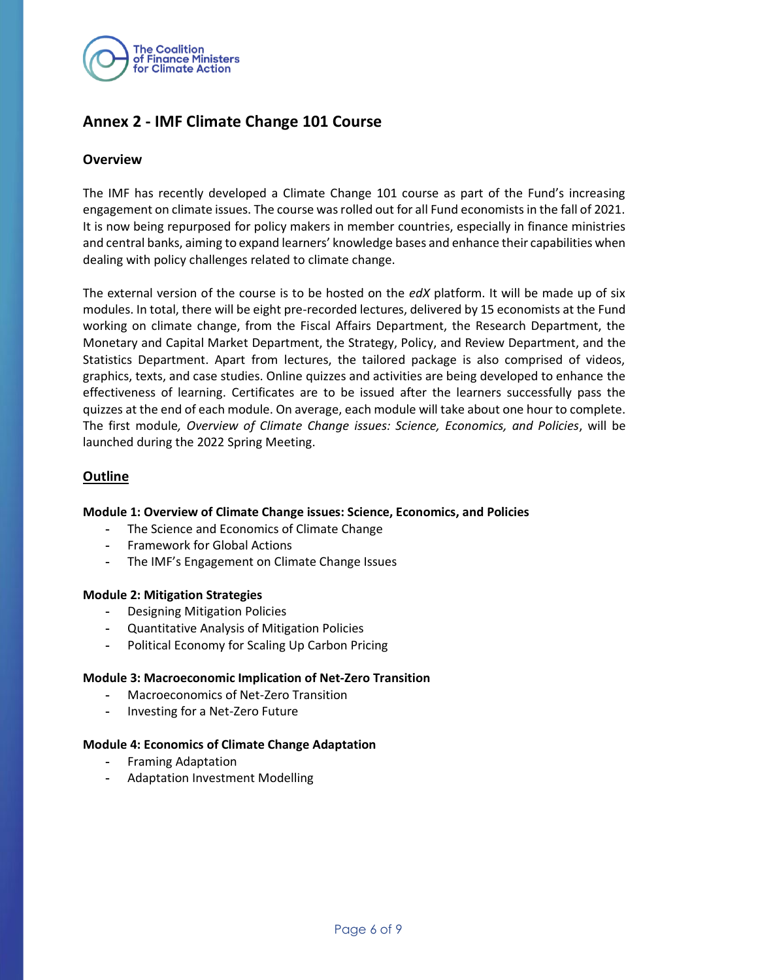

# **Annex 2 - IMF Climate Change 101 Course**

#### **Overview**

The IMF has recently developed a Climate Change 101 course as part of the Fund's increasing engagement on climate issues. The course was rolled out for all Fund economists in the fall of 2021. It is now being repurposed for policy makers in member countries, especially in finance ministries and central banks, aiming to expand learners' knowledge bases and enhance their capabilities when dealing with policy challenges related to climate change.

The external version of the course is to be hosted on the *edX* platform. It will be made up of six modules. In total, there will be eight pre-recorded lectures, delivered by 15 economists at the Fund working on climate change, from the Fiscal Affairs Department, the Research Department, the Monetary and Capital Market Department, the Strategy, Policy, and Review Department, and the Statistics Department. Apart from lectures, the tailored package is also comprised of videos, graphics, texts, and case studies. Online quizzes and activities are being developed to enhance the effectiveness of learning. Certificates are to be issued after the learners successfully pass the quizzes at the end of each module. On average, each module will take about one hour to complete. The first module*, Overview of Climate Change issues: Science, Economics, and Policies*, will be launched during the 2022 Spring Meeting.

#### **Outline**

#### **Module 1: Overview of Climate Change issues: Science, Economics, and Policies**

- **-** The Science and Economics of Climate Change
- **-** Framework for Global Actions
- **-** The IMF's Engagement on Climate Change Issues

#### **Module 2: Mitigation Strategies**

- **-** Designing Mitigation Policies
- **-** Quantitative Analysis of Mitigation Policies
- **-** Political Economy for Scaling Up Carbon Pricing

#### **Module 3: Macroeconomic Implication of Net-Zero Transition**

- **-** Macroeconomics of Net-Zero Transition
- **-** Investing for a Net-Zero Future

#### **Module 4: Economics of Climate Change Adaptation**

- **-** Framing Adaptation
- **-** Adaptation Investment Modelling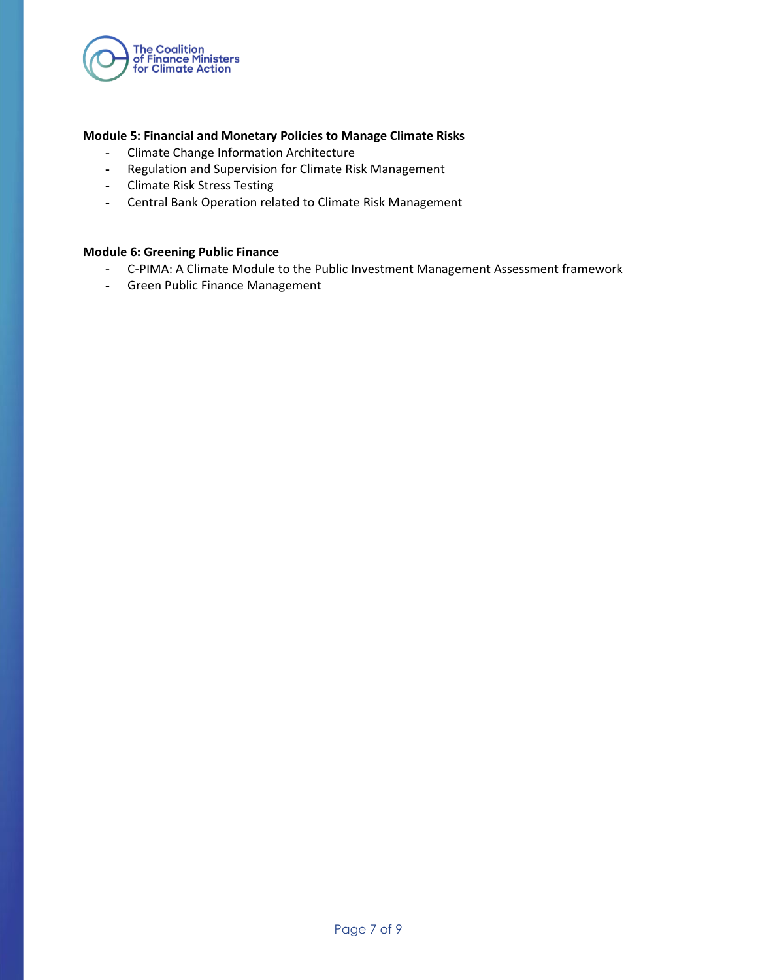

#### **Module 5: Financial and Monetary Policies to Manage Climate Risks**

- **-** Climate Change Information Architecture
- **-** Regulation and Supervision for Climate Risk Management
- **-** Climate Risk Stress Testing
- **-** Central Bank Operation related to Climate Risk Management

#### **Module 6: Greening Public Finance**

- **-** C-PIMA: A Climate Module to the Public Investment Management Assessment framework
- **-** Green Public Finance Management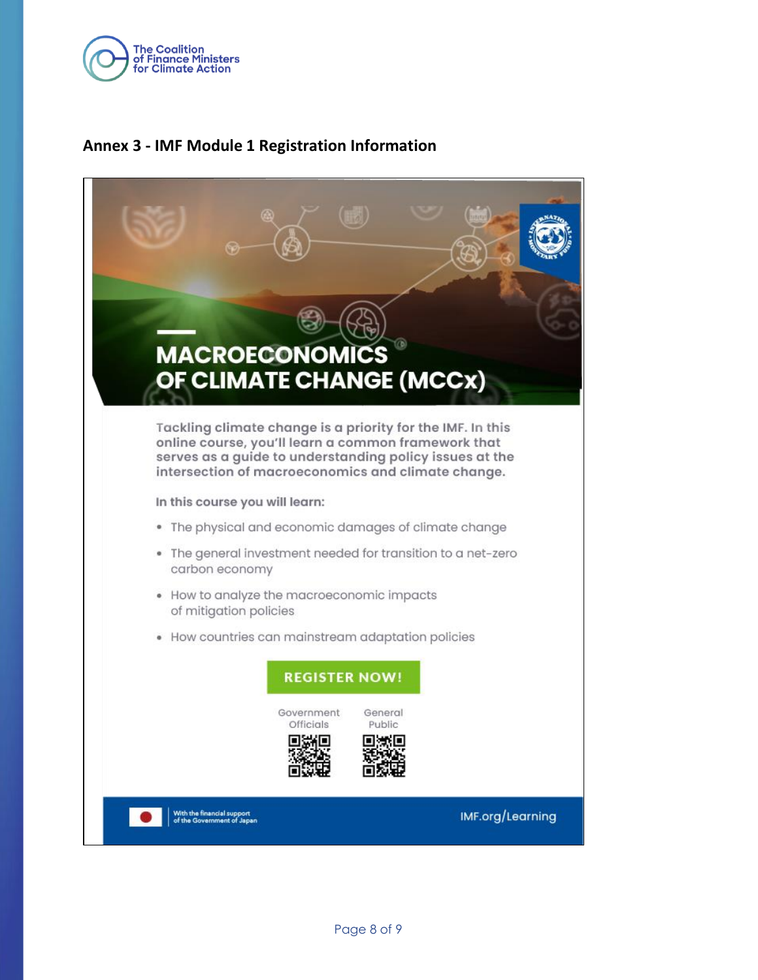

# **Annex 3 - IMF Module 1 Registration Information**